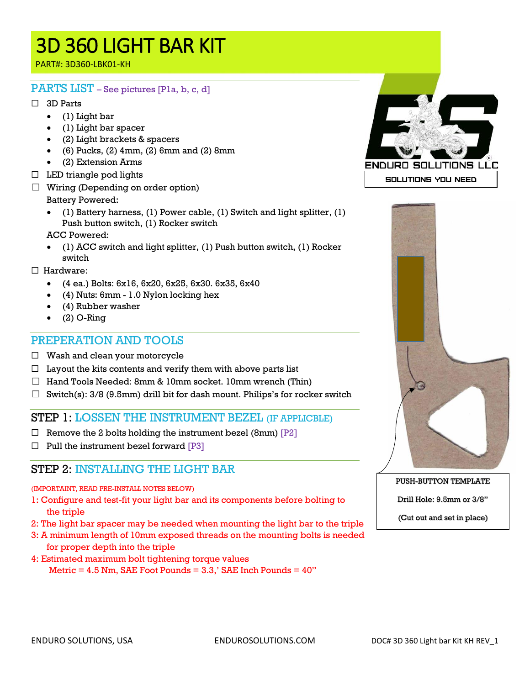PART#: 3D360-LBK01-KH

#### PARTS LIST – See pictures [P1a, b, c, d]

#### ☐ 3D Parts

- (1) Light bar
- (1) Light bar spacer
- (2) Light brackets & spacers
- $\bullet$  (6) Pucks, (2) 4mm, (2) 6mm and (2) 8mm
- (2) Extension Arms
- $\Box$  LED triangle pod lights
- $\Box$  Wiring (Depending on order option) Battery Powered:
	- (1) Battery harness, (1) Power cable, (1) Switch and light splitter, (1) Push button switch, (1) Rocker switch

ACC Powered:

• (1) ACC switch and light splitter, (1) Push button switch, (1) Rocker switch

☐ Hardware:

- (4 ea.) Bolts: 6x16, 6x20, 6x25, 6x30. 6x35, 6x40
- (4) Nuts: 6mm 1.0 Nylon locking hex
- (4) Rubber washer
- $\bullet$  (2) O-Ring

#### PREPERATION AND TOOLS

- $\Box$  Wash and clean your motorcycle
- $\Box$  Layout the kits contents and verify them with above parts list
- $\Box$  Hand Tools Needed: 8mm & 10mm socket. 10mm wrench (Thin)
- $\Box$  Switch(s): 3/8 (9.5mm) drill bit for dash mount. Philips's for rocker switch

#### STEP 1: LOSSEN THE INSTRUMENT BEZEL (IF APPLICBLE)

- $\Box$  Remove the 2 bolts holding the instrument bezel (8mm) [P2]
- $\Box$  Pull the instrument bezel forward [P3]

#### STEP 2: INSTALLING THE LIGHT BAR

#### (IMPORTAINT, READ PRE-INSTALL NOTES BELOW)

- 1: Configure and test-fit your light bar and its components before bolting to the triple
- 2: The light bar spacer may be needed when mounting the light bar to the triple
- 3: A minimum length of 10mm exposed threads on the mounting bolts is needed for proper depth into the triple
- 4: Estimated maximum bolt tightening torque values Metric  $= 4.5$  Nm, SAE Foot Pounds  $= 3.3$ ,' SAE Inch Pounds  $= 40$ "





PUSH-BUTTON TEMPLATE

Drill Hole: 9.5mm or 3/8"

(Cut out and set in place)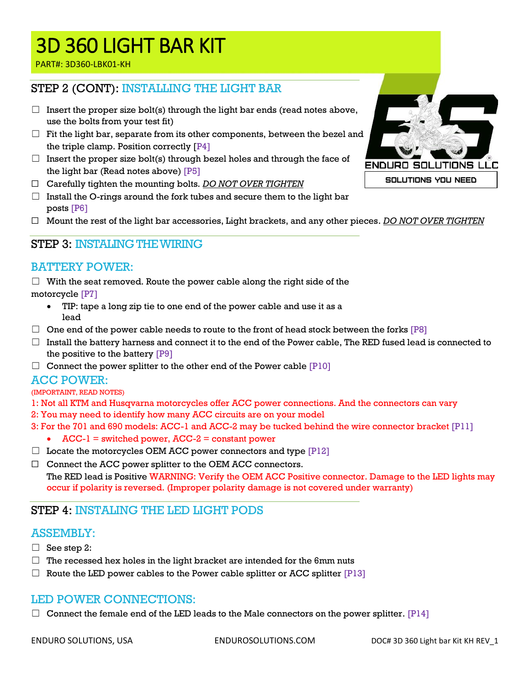PART#: 3D360-LBK01-KH

#### STEP 2 (CONT): INSTALLING THE LIGHT BAR

- $\Box$  Insert the proper size bolt(s) through the light bar ends (read notes above, use the bolts from your test fit)
- $\Box$  Fit the light bar, separate from its other components, between the bezel and the triple clamp. Position correctly [P4]
- $\Box$  Insert the proper size bolt(s) through bezel holes and through the face of the light bar (Read notes above) [P5]
- ☐ Carefully tighten the mounting bolts. *DO NOT OVER TIGHTEN*
- $\Box$  Install the O-rings around the fork tubes and secure them to the light bar posts [P6]
- ☐ Mount the rest of the light bar accessories, Light brackets, and any other pieces. *DO NOT OVER TIGHTEN*

#### STEP 3: INSTALING THE WIRING

#### BATTERY POWER:

 $\Box$  With the seat removed. Route the power cable along the right side of the motorcycle [P7]

- TIP: tape a long zip tie to one end of the power cable and use it as a lead
- $\Box$  One end of the power cable needs to route to the front of head stock between the forks [P8]
- $\Box$  Install the battery harness and connect it to the end of the Power cable, The RED fused lead is connected to the positive to the battery [P9]
- $\Box$  Connect the power splitter to the other end of the Power cable  $[P10]$

#### ACC POWER:

#### (IMPORTAINT, READ NOTES)

- 1: Not all KTM and Husqvarna motorcycles offer ACC power connections. And the connectors can vary
- 2: You may need to identify how many ACC circuits are on your model
- 3: For the 701 and 690 models: ACC-1 and ACC-2 may be tucked behind the wire connector bracket [P11]
	- $ACC-I = switched power, ACC-2 = constant power$
- $\Box$  Locate the motorcycles OEM ACC power connectors and type [P12]
- ☐ Connect the ACC power splitter to the OEM ACC connectors. The RED lead is Positive WARNING: Verify the OEM ACC Positive connector. Damage to the LED lights may occur if polarity is reversed. (Improper polarity damage is not covered under warranty)

#### STEP 4: INSTALING THE LED LIGHT PODS

#### ASSEMBLY:

- $\Box$  See step 2:
- $\Box$  The recessed hex holes in the light bracket are intended for the 6mm nuts
- $\Box$  Route the LED power cables to the Power cable splitter or ACC splitter  $[P13]$

#### LED POWER CONNECTIONS:

 $\Box$  Connect the female end of the LED leads to the Male connectors on the power splitter. [P14]



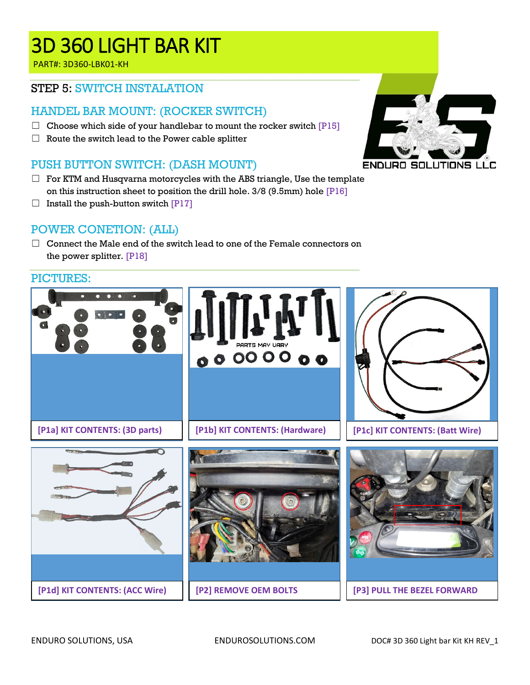PART#: 3D360-LBK01-KH

#### STEP 5: SWITCH INSTALATION

#### HANDEL BAR MOUNT: (ROCKER SWITCH)

- $\Box$  Choose which side of your handlebar to mount the rocker switch  $[PI5]$
- $\Box$  Route the switch lead to the Power cable splitter

### PUSH BUTTON SWITCH: (DASH MOUNT)

- $\Box$  For KTM and Husqvarna motorcycles with the ABS triangle, Use the template on this instruction sheet to position the drill hole. 3/8 (9.5mm) hole [P16]
- $\Box$  Install the push-button switch [P17]

#### POWER CONETION: (ALL)

 $\Box$  Connect the Male end of the switch lead to one of the Female connectors on the power splitter. [P18]

# PICTURES: PARTS MAY VARY 000000 **[P1a] KIT CONTENTS: (3D parts) [P1c] KIT CONTENTS: (Batt Wire) [P1b] KIT CONTENTS: (Hardware)**  $\overline{\mathbb{L}}$ **[P1d] KIT CONTENTS: (ACC Wire) [P3] PULL THE BEZEL FORWARD[P2] REMOVE OEM BOLTS**

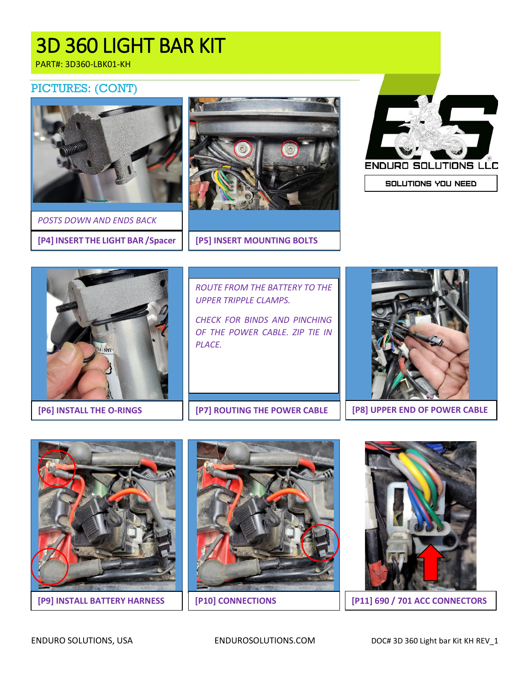PART#: 3D360-LBK01-KH

#### PICTURES: (CONT)



**[P4] INSERT THE LIGHT BAR /Spacer [P5] INSERT MOUNTING BOLTS** *POSTS DOWN AND ENDS BACK*





SOLUTIONS YOU NEED



**[P6] INSTALL THE O-RINGS**

*ROUTE FROM THE BATTERY TO THE UPPER TRIPPLE CLAMPS.*

*CHECK FOR BINDS AND PINCHING OF THE POWER CABLE. ZIP TIE IN PLACE.*



**[P7] ROUTING THE POWER CABLE [P8] UPPER END OF POWER CABLE**



**[P9] INSTALL BATTERY HARNESS**





**[P10] CONNECTIONS [P11] 690 / 701 ACC CONNECTORS**